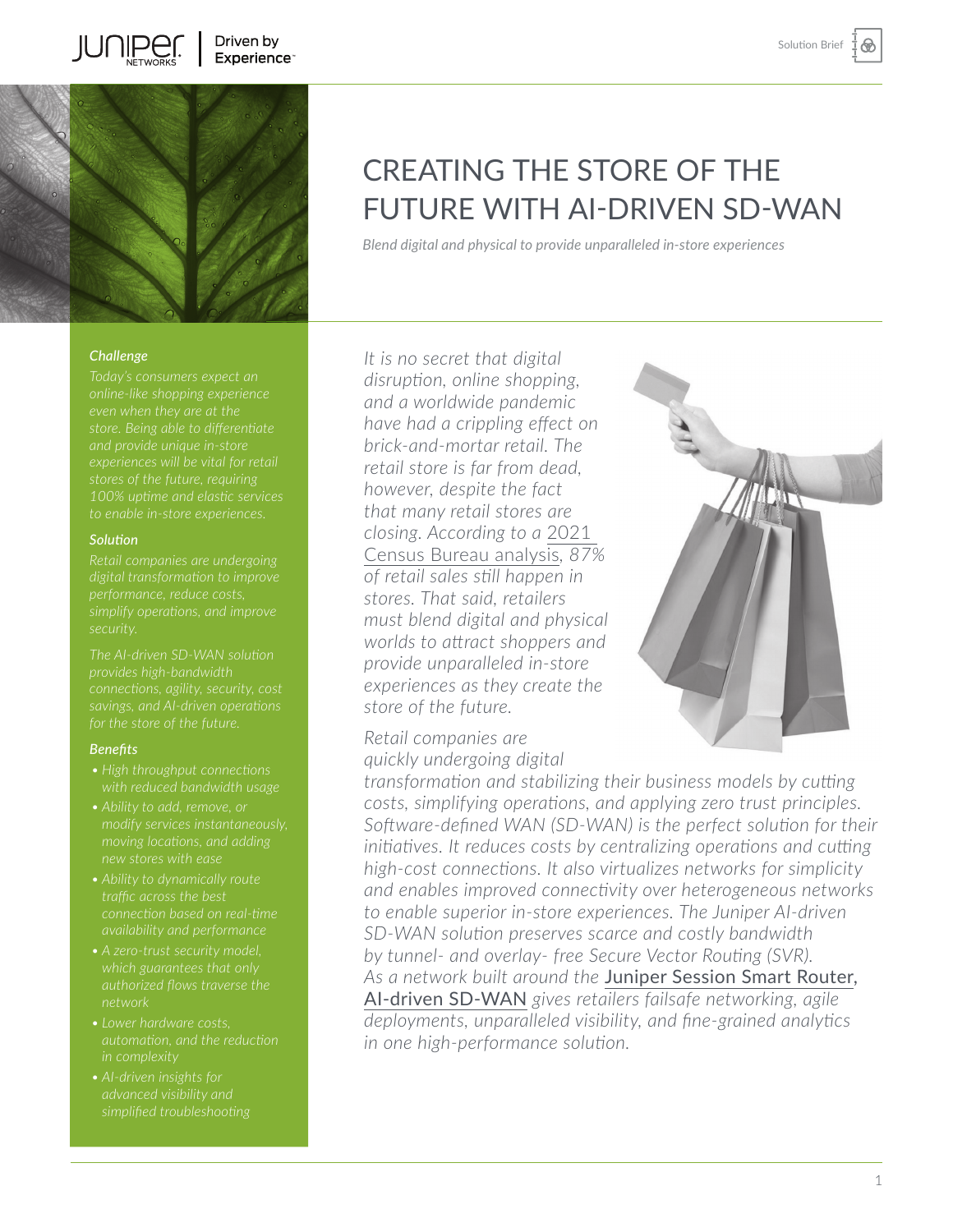

### *Challenge*

**JUNIPEI** 

*100% uptime and elastic services* 

### *Solution*

*simplify operations, and improve security.* 

*The AI-driven SD-WAN solution* 

#### *Benefits*

- *• High throughput connections*
- *modify services instantaneously, moving locations, and adding new stores with ease*
- 
- 
- *• Lower hardware costs,*
- 

# CREATING THE STORE OF THE FUTURE WITH AI-DRIVEN SD-WAN

*Blend digital and physical to provide unparalleled in-store experiences*

*It is no secret that digital disruption, online shopping, and a worldwide pandemic have had a crippling effect on brick-and-mortar retail. The retail store is far from dead, however, despite the fact that many retail stores are closing. According to a* [2021](https://www.census.gov/retail/mrts/www/data/pdf/ec_current.pdf)  [Census Bureau analysis](https://www.census.gov/retail/mrts/www/data/pdf/ec_current.pdf)*, 87% of retail sales still happen in stores. That said, retailers must blend digital and physical worlds to attract shoppers and provide unparalleled in-store experiences as they create the store of the future.*

*Retail companies are quickly undergoing digital* 



*transformation and stabilizing their business models by cutting costs, simplifying operations, and applying zero trust principles. Software-defined WAN (SD-WAN) is the perfect solution for their initiatives. It reduces costs by centralizing operations and cutting high-cost connections. It also virtualizes networks for simplicity and enables improved connectivity over heterogeneous networks to enable superior in-store experiences. The Juniper AI-driven SD-WAN solution preserves scarce and costly bandwidth by tunnel- and overlay- free Secure Vector Routing (SVR). As a network built around the* [Juniper Session Smart Router](https://www.juniper.net/us/en/products/routers/session-smart-router.html), [AI-driven SD-WAN](https://www.juniper.net/us/en/solutions/sd-wan.html) *gives retailers failsafe networking, agile deployments, unparalleled visibility, and fine-grained analytics in one high-performance solution.*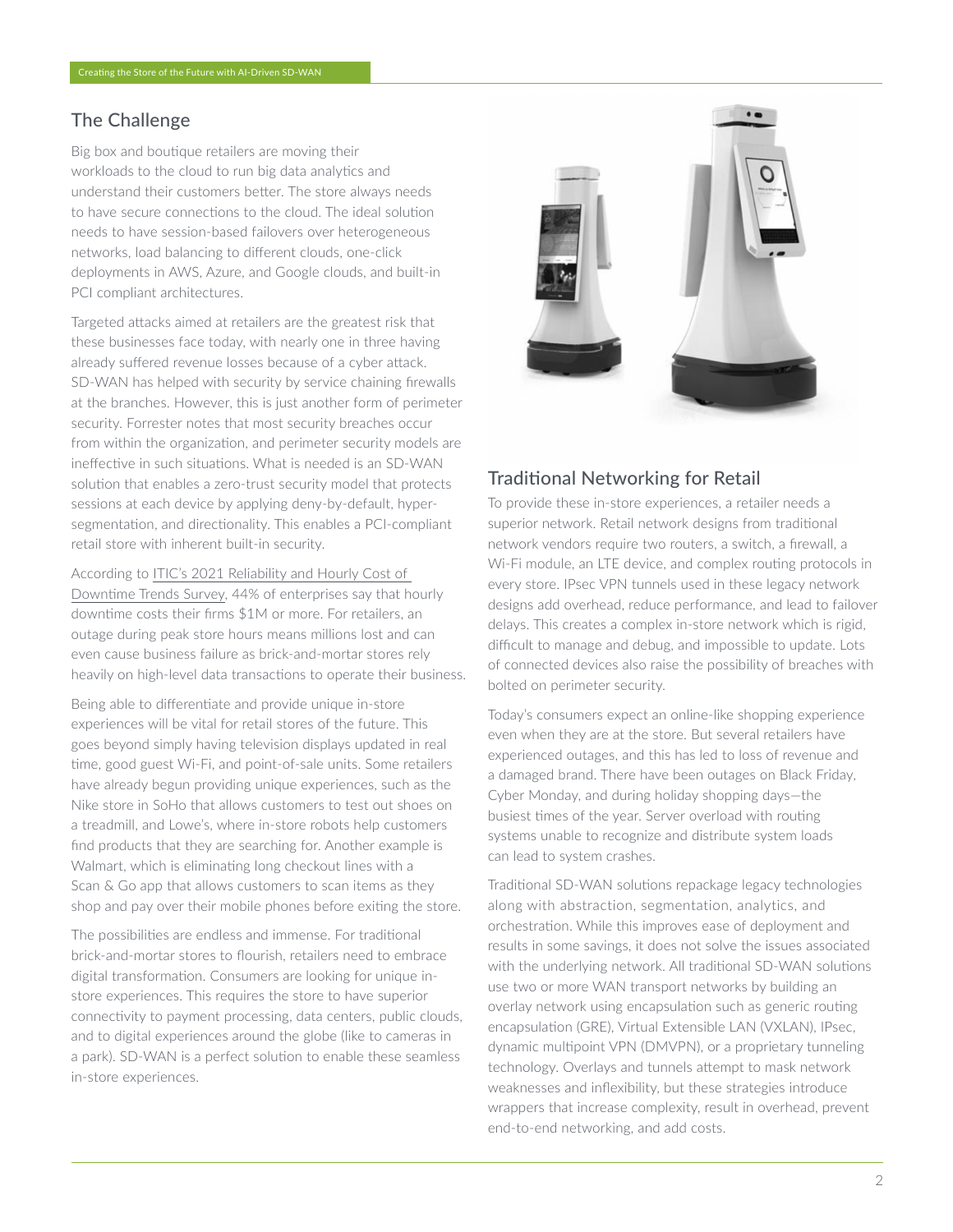## The Challenge

Big box and boutique retailers are moving their workloads to the cloud to run big data analytics and understand their customers better. The store always needs to have secure connections to the cloud. The ideal solution needs to have session-based failovers over heterogeneous networks, load balancing to different clouds, one-click deployments in AWS, Azure, and Google clouds, and built-in PCI compliant architectures.

Targeted attacks aimed at retailers are the greatest risk that these businesses face today, with nearly one in three having already suffered revenue losses because of a cyber attack. SD-WAN has helped with security by service chaining firewalls at the branches. However, this is just another form of perimeter security. Forrester notes that most security breaches occur from within the organization, and perimeter security models are ineffective in such situations. What is needed is an SD-WAN solution that enables a zero-trust security model that protects sessions at each device by applying deny-by-default, hypersegmentation, and directionality. This enables a PCI-compliant retail store with inherent built-in security.

According to [ITIC's 2021 Reliability and Hourly Cost of](https://www.ibm.com/downloads/cas/A856LOWK#:~:text=ITIC)  [Downtime Trends Survey](https://www.ibm.com/downloads/cas/A856LOWK#:~:text=ITIC), 44% of enterprises say that hourly downtime costs their firms \$1M or more. For retailers, an outage during peak store hours means millions lost and can even cause business failure as brick-and-mortar stores rely heavily on high-level data transactions to operate their business.

Being able to differentiate and provide unique in-store experiences will be vital for retail stores of the future. This goes beyond simply having television displays updated in real time, good guest Wi-Fi, and point-of-sale units. Some retailers have already begun providing unique experiences, such as the Nike store in SoHo that allows customers to test out shoes on a treadmill, and Lowe's, where in-store robots help customers find products that they are searching for. Another example is Walmart, which is eliminating long checkout lines with a Scan & Go app that allows customers to scan items as they shop and pay over their mobile phones before exiting the store.

The possibilities are endless and immense. For traditional brick-and-mortar stores to flourish, retailers need to embrace digital transformation. Consumers are looking for unique instore experiences. This requires the store to have superior connectivity to payment processing, data centers, public clouds, and to digital experiences around the globe (like to cameras in a park). SD-WAN is a perfect solution to enable these seamless in-store experiences.



## Traditional Networking for Retail

To provide these in-store experiences, a retailer needs a superior network. Retail network designs from traditional network vendors require two routers, a switch, a firewall, a Wi-Fi module, an LTE device, and complex routing protocols in every store. IPsec VPN tunnels used in these legacy network designs add overhead, reduce performance, and lead to failover delays. This creates a complex in-store network which is rigid, difficult to manage and debug, and impossible to update. Lots of connected devices also raise the possibility of breaches with bolted on perimeter security.

Today's consumers expect an online-like shopping experience even when they are at the store. But several retailers have experienced outages, and this has led to loss of revenue and a damaged brand. There have been outages on Black Friday, Cyber Monday, and during holiday shopping days—the busiest times of the year. Server overload with routing systems unable to recognize and distribute system loads can lead to system crashes.

Traditional SD-WAN solutions repackage legacy technologies along with abstraction, segmentation, analytics, and orchestration. While this improves ease of deployment and results in some savings, it does not solve the issues associated with the underlying network. All traditional SD-WAN solutions use two or more WAN transport networks by building an overlay network using encapsulation such as generic routing encapsulation (GRE), Virtual Extensible LAN (VXLAN), IPsec, dynamic multipoint VPN (DMVPN), or a proprietary tunneling technology. Overlays and tunnels attempt to mask network weaknesses and inflexibility, but these strategies introduce wrappers that increase complexity, result in overhead, prevent end-to-end networking, and add costs.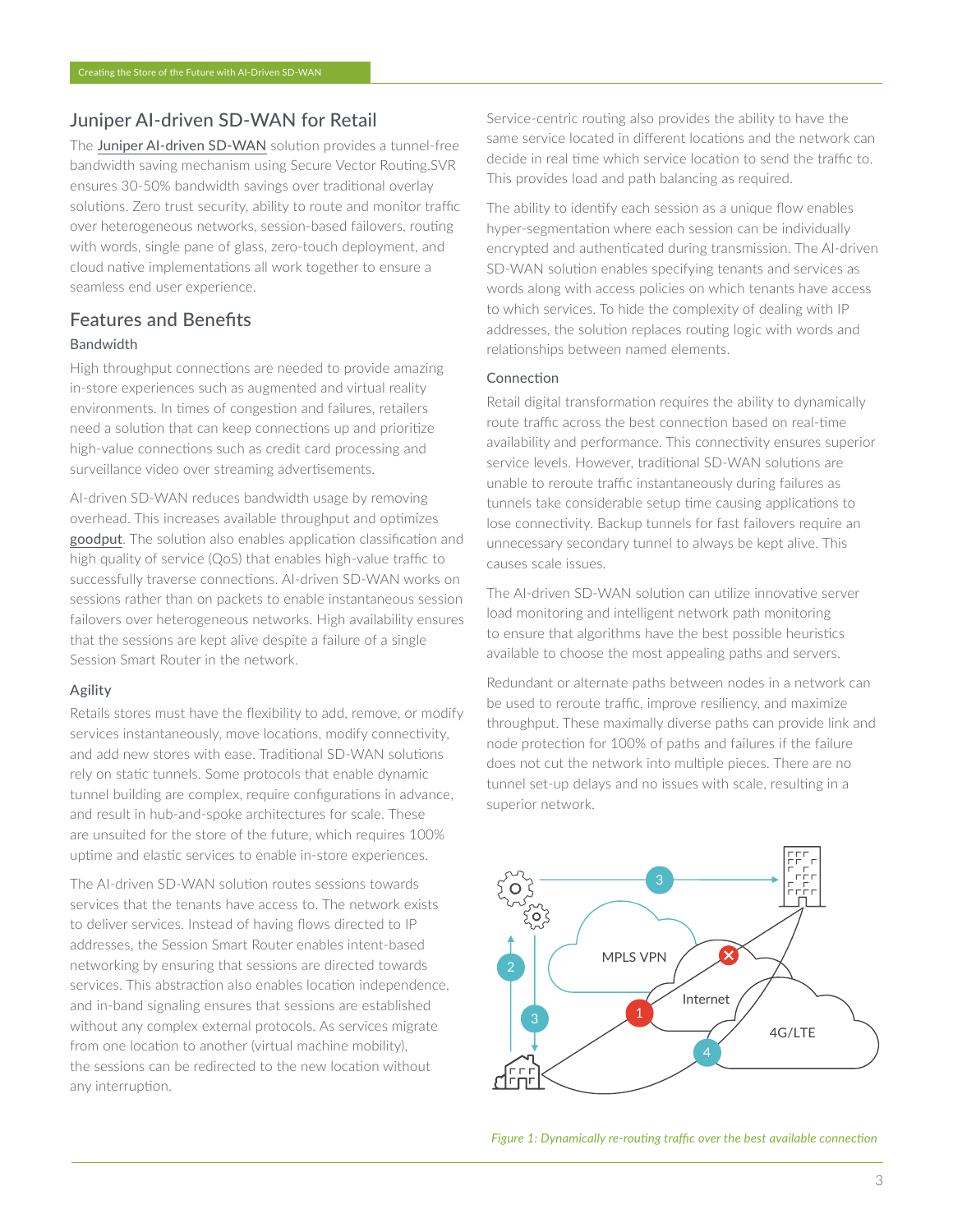## Juniper AI-driven SD-WAN for Retail

The [Juniper AI-driven SD-WAN](https://www.juniper.net/us/en/solutions/sd-wan.html) solution provides a tunnel-free bandwidth saving mechanism using Secure Vector Routing.SVR ensures 30-50% bandwidth savings over traditional overlay solutions. Zero trust security, ability to route and monitor traffic over heterogeneous networks, session-based failovers, routing with words, single pane of glass, zero-touch deployment, and cloud native implementations all work together to ensure a seamless end user experience.

## Features and Benefits Bandwidth

High throughput connections are needed to provide amazing in-store experiences such as augmented and virtual reality environments. In times of congestion and failures, retailers need a solution that can keep connections up and prioritize high-value connections such as credit card processing and surveillance video over streaming advertisements.

AI-driven SD-WAN reduces bandwidth usage by removing overhead. This increases available throughput and optimizes [goodput](https://blogs.juniper.net/en-us/enterprise-cloud-and-transformation/what-is-goodput-and-why-it-matters). The solution also enables application classification and high quality of service (QoS) that enables high-value traffic to successfully traverse connections. AI-driven SD-WAN works on sessions rather than on packets to enable instantaneous session failovers over heterogeneous networks. High availability ensures that the sessions are kept alive despite a failure of a single Session Smart Router in the network.

### Agility

Retails stores must have the flexibility to add, remove, or modify services instantaneously, move locations, modify connectivity, and add new stores with ease. Traditional SD-WAN solutions rely on static tunnels. Some protocols that enable dynamic tunnel building are complex, require configurations in advance, and result in hub-and-spoke architectures for scale. These are unsuited for the store of the future, which requires 100% uptime and elastic services to enable in-store experiences.

The AI-driven SD-WAN solution routes sessions towards services that the tenants have access to. The network exists to deliver services. Instead of having flows directed to IP addresses, the Session Smart Router enables intent-based networking by ensuring that sessions are directed towards services. This abstraction also enables location independence, and in-band signaling ensures that sessions are established without any complex external protocols. As services migrate from one location to another (virtual machine mobility), the sessions can be redirected to the new location without any interruption.

Service-centric routing also provides the ability to have the same service located in different locations and the network can decide in real time which service location to send the traffic to. This provides load and path balancing as required.

The ability to identify each session as a unique flow enables hyper-segmentation where each session can be individually encrypted and authenticated during transmission. The AI-driven SD-WAN solution enables specifying tenants and services as words along with access policies on which tenants have access to which services. To hide the complexity of dealing with IP addresses, the solution replaces routing logic with words and relationships between named elements.

#### Connection

Retail digital transformation requires the ability to dynamically route traffic across the best connection based on real-time availability and performance. This connectivity ensures superior service levels. However, traditional SD-WAN solutions are unable to reroute traffic instantaneously during failures as tunnels take considerable setup time causing applications to lose connectivity. Backup tunnels for fast failovers require an unnecessary secondary tunnel to always be kept alive. This causes scale issues.

The AI-driven SD-WAN solution can utilize innovative server load monitoring and intelligent network path monitoring to ensure that algorithms have the best possible heuristics available to choose the most appealing paths and servers.

Redundant or alternate paths between nodes in a network can be used to reroute traffic, improve resiliency, and maximize throughput. These maximally diverse paths can provide link and node protection for 100% of paths and failures if the failure does not cut the network into multiple pieces. There are no tunnel set-up delays and no issues with scale, resulting in a superior network.



*Figure 1: Dynamically re-routing traffic over the best available connection*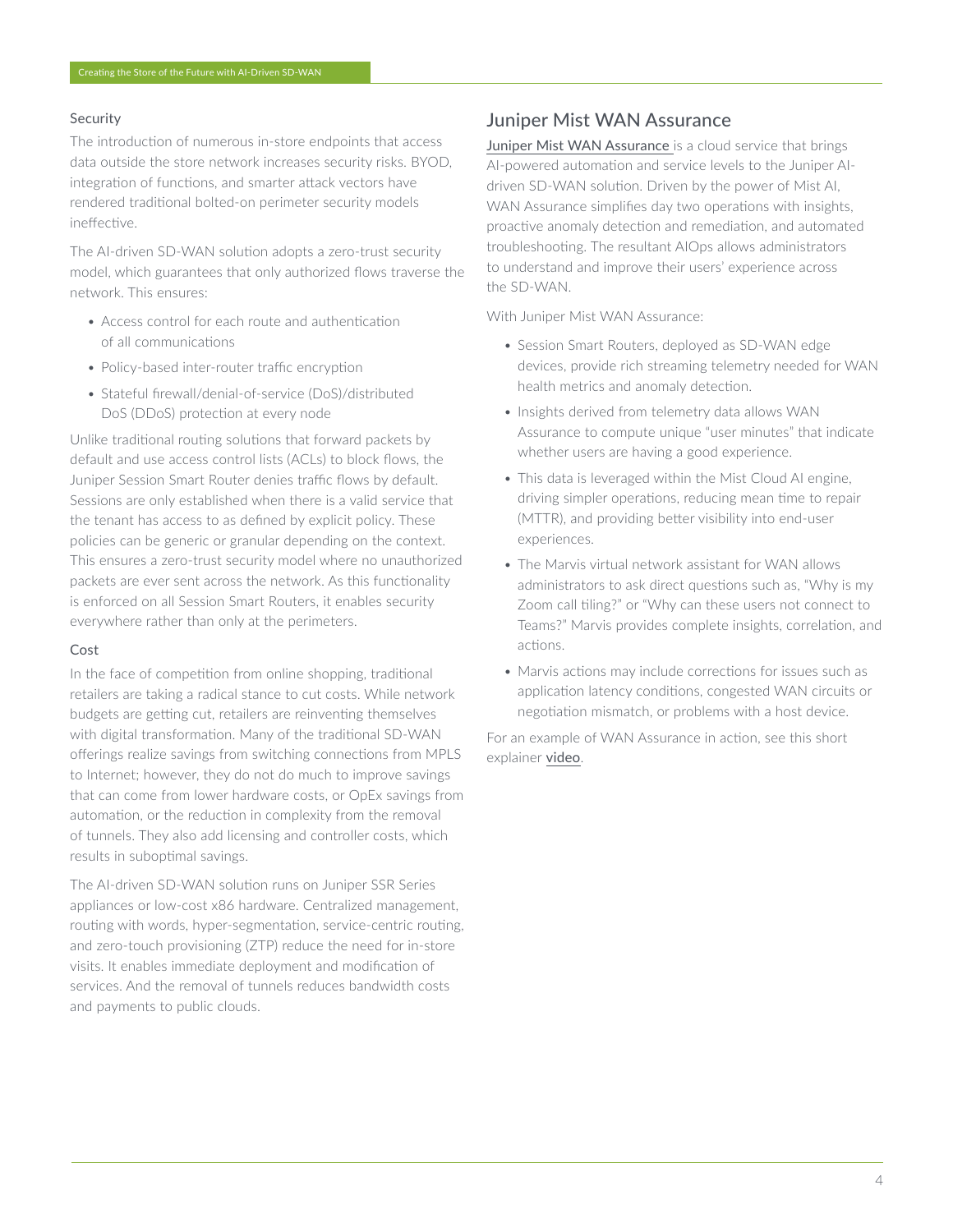#### Security

The introduction of numerous in-store endpoints that access data outside the store network increases security risks. BYOD, integration of functions, and smarter attack vectors have rendered traditional bolted-on perimeter security models ineffective.

The AI-driven SD-WAN solution adopts a zero-trust security model, which guarantees that only authorized flows traverse the network. This ensures:

- Access control for each route and authentication of all communications
- Policy-based inter-router traffic encryption
- Stateful firewall/denial-of-service (DoS)/distributed DoS (DDoS) protection at every node

Unlike traditional routing solutions that forward packets by default and use access control lists (ACLs) to block flows, the Juniper Session Smart Router denies traffic flows by default. Sessions are only established when there is a valid service that the tenant has access to as defined by explicit policy. These policies can be generic or granular depending on the context. This ensures a zero-trust security model where no unauthorized packets are ever sent across the network. As this functionality is enforced on all Session Smart Routers, it enables security everywhere rather than only at the perimeters.

#### Cost

In the face of competition from online shopping, traditional retailers are taking a radical stance to cut costs. While network budgets are getting cut, retailers are reinventing themselves with digital transformation. Many of the traditional SD-WAN offerings realize savings from switching connections from MPLS to Internet; however, they do not do much to improve savings that can come from lower hardware costs, or OpEx savings from automation, or the reduction in complexity from the removal of tunnels. They also add licensing and controller costs, which results in suboptimal savings.

The AI-driven SD-WAN solution runs on Juniper SSR Series appliances or low-cost x86 hardware. Centralized management, routing with words, hyper-segmentation, service-centric routing, and zero-touch provisioning (ZTP) reduce the need for in-store visits. It enables immediate deployment and modification of services. And the removal of tunnels reduces bandwidth costs and payments to public clouds.

## Juniper Mist WAN Assurance

[Juniper Mist WAN Assurance](https://www.juniper.net/us/en/products/cloud-services/wan-assurance.html) is a cloud service that brings AI-powered automation and service levels to the Juniper AIdriven SD-WAN solution. Driven by the power of Mist AI, WAN Assurance simplifies day two operations with insights, proactive anomaly detection and remediation, and automated troubleshooting. The resultant AIOps allows administrators to understand and improve their users' experience across the SD-WAN.

With Juniper Mist WAN Assurance:

- Session Smart Routers, deployed as SD-WAN edge devices, provide rich streaming telemetry needed for WAN health metrics and anomaly detection.
- Insights derived from telemetry data allows WAN Assurance to compute unique "user minutes" that indicate whether users are having a good experience.
- This data is leveraged within the Mist Cloud AI engine, driving simpler operations, reducing mean time to repair (MTTR), and providing better visibility into end-user experiences.
- The Marvis virtual network assistant for WAN allows administrators to ask direct questions such as, "Why is my Zoom call tiling?" or "Why can these users not connect to Teams?" Marvis provides complete insights, correlation, and actions.
- Marvis actions may include corrections for issues such as application latency conditions, congested WAN circuits or negotiation mismatch, or problems with a host device.

For an example of WAN Assurance in action, see this short explainer [video](https://www.youtube.com/watch?v=iW9vuOaC1i4).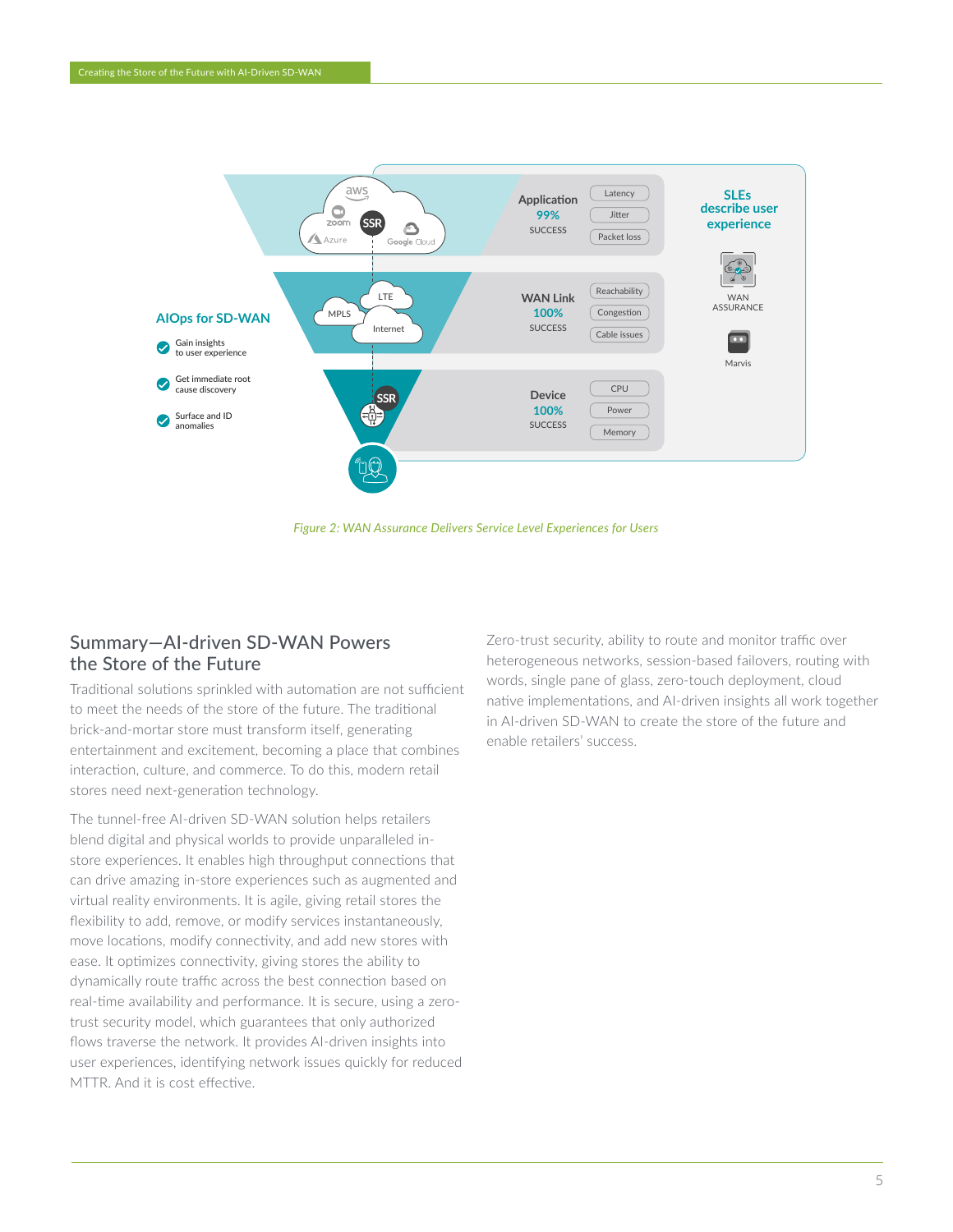

*Figure 2: WAN Assurance Delivers Service Level Experiences for Users*

## Summary—AI-driven SD-WAN Powers the Store of the Future

Traditional solutions sprinkled with automation are not sufficient to meet the needs of the store of the future. The traditional brick-and-mortar store must transform itself, generating entertainment and excitement, becoming a place that combines interaction, culture, and commerce. To do this, modern retail stores need next-generation technology.

The tunnel-free AI-driven SD-WAN solution helps retailers blend digital and physical worlds to provide unparalleled instore experiences. It enables high throughput connections that can drive amazing in-store experiences such as augmented and virtual reality environments. It is agile, giving retail stores the flexibility to add, remove, or modify services instantaneously, move locations, modify connectivity, and add new stores with ease. It optimizes connectivity, giving stores the ability to dynamically route traffic across the best connection based on real-time availability and performance. It is secure, using a zerotrust security model, which guarantees that only authorized flows traverse the network. It provides AI-driven insights into user experiences, identifying network issues quickly for reduced MTTR. And it is cost effective.

Zero-trust security, ability to route and monitor traffic over heterogeneous networks, session-based failovers, routing with words, single pane of glass, zero-touch deployment, cloud native implementations, and AI-driven insights all work together in AI-driven SD-WAN to create the store of the future and enable retailers' success.